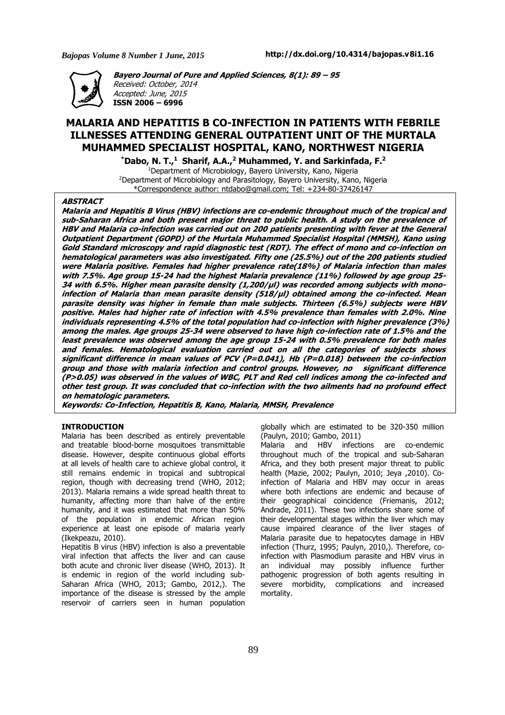*Bajopas Volume 8 Number 1 June, 2015*



**Bayero Journal of Pure and Applied Sciences, 8(1): 89 – 95** Received: October, 2014 Accepted: June, 2015 **ISSN 2006 – 6996**

# **MALARIA AND HEPATITIS B CO-INFECTION IN PATIENTS WITH FEBRILE ILLNESSES ATTENDING GENERAL OUTPATIENT UNIT OF THE MURTALA MUHAMMED SPECIALIST HOSPITAL, KANO, NORTHWEST NIGERIA**

**\*Dabo, N. T.,<sup>1</sup> Sharif, A.A.,<sup>2</sup> Muhammed, Y. and Sarkinfada, F.<sup>2</sup>** <sup>1</sup>Department of Microbiology, Bayero University, Kano, Nigeria <sup>2</sup>Department of Microbiology and Parasitology, Bayero University, Kano, Nigeria \*Correspondence author: ntdabo@gmail.com; Tel: +234-80-37426147

### **ABSTRACT**

Malaria and Hepatitis B Virus (HBV) infections are co-endemic throughout much of the tropical and sub-Saharan Africa and both present major threat to public health. A study on the prevalence of HBV and Malaria co-infection was carried out on 200 patients presenting with fever at the General Outpatient Department (GOPD) of the Murtala Muhammed Specialist Hospital (MMSH), Kano using Gold Standard microscopy and rapid diagnostic test (RDT). The effect of mono and co-infection on hematological parameters was also investigated. Fifty one (25.5%) out of the 200 patients studied were Malaria positive. Females had higher prevalence rate(18%) of Malaria infection than males with 7.5%. Age group 15-24 had the highest Malaria prevalence (11%) followed by age group 25-34 with 6.5%. Higher mean parasite density (1,200/ul) was recorded among subjects with monoinfection of Malaria than mean parasite density (518/µl) obtained among the co-infected. Mean parasite density was higher in female than male subjects. Thirteen (6.5%) subjects were HBV positive. Males had higher rate of infection with 4.5% prevalence than females with 2.0%. Nine individuals representing 4.5% of the total population had co-infection with higher prevalence (3%) among the males. Age groups 25-34 were observed to have high co-infection rate of 1.5% and the least prevalence was observed among the age group 15-24 with 0.5% prevalence for both males and females. Hematological evaluation carried out on all the categories of subjects shows significant difference in mean values of PCV (P=0.041), Hb (P=0.018) between the co-infection group and those with malaria infection and control groups. However, no significant difference (P>0.05) was observed in the values of WBC, PLT and Red cell indices among the co-infected and other test group. It was concluded that co-infection with the two ailments had no profound effect **on hematologic parameters.**

**Keywords: Co-Infection, Hepatitis B, Kano, Malaria, MMSH, Prevalence**

# **INTRODUCTION**

Malaria has been described as entirely preventable and treatable blood-borne mosquitoes transmittable disease. However, despite continuous global efforts at all levels of health care to achieve global control, it still remains endemic in tropical and subtropical region, though with decreasing trend (WHO, 2012; 2013). Malaria remains a wide spread health threat to humanity, affecting more than halve of the entire humanity, and it was estimated that more than 50% of the population in endemic African region experience at least one episode of malaria yearly (Ikekpeazu, 2010).

Hepatitis B virus (HBV) infection is also a preventable viral infection that affects the liver and can cause both acute and chronic liver disease (WHO, 2013). It is endemic in region of the world including sub-Saharan Africa (WHO, 2013; Gambo, 2012,). The importance of the disease is stressed by the ample reservoir of carriers seen in human population

globally which are estimated to be 320-350 million (Paulyn, 2010; Gambo, 2011)

Malaria and HBV infections are co-endemic throughout much of the tropical and sub-Saharan Africa, and they both present major threat to public health (Mazie, 2002; Paulyn, 2010; Jeya ,2010). Coinfection of Malaria and HBV may occur in areas where both infections are endemic and because of their geographical coincidence (Friemanis, 2012; Andrade, 2011). These two infections share some of their developmental stages within the liver which may cause impaired clearance of the liver stages of Malaria parasite due to hepatocytes damage in HBV infection (Thurz, 1995; Paulyn, 2010,). Therefore, coinfection with Plasmodium parasite and HBV virus in an individual may possibly influence further pathogenic progression of both agents resulting in severe morbidity, complications and increased mortality.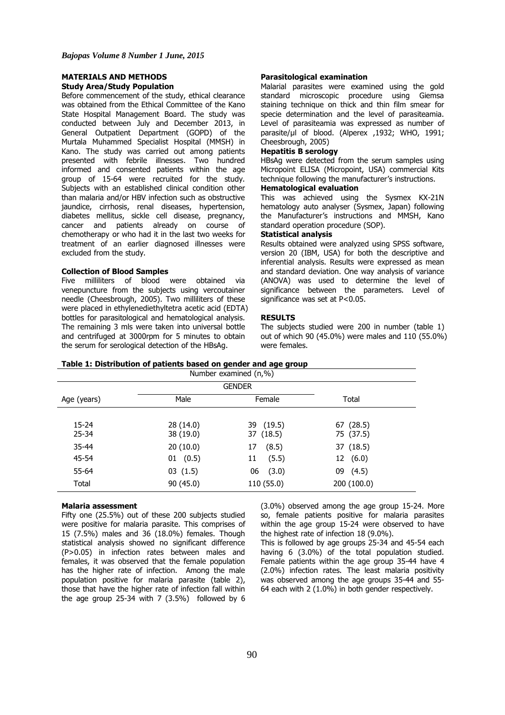### **MATERIALS AND METHODS Study Area/Study Population**

Before commencement of the study, ethical clearance was obtained from the Ethical Committee of the Kano State Hospital Management Board. The study was conducted between July and December 2013, in General Outpatient Department (GOPD) of the Murtala Muhammed Specialist Hospital (MMSH) in Kano. The study was carried out among patients presented with febrile illnesses. Two hundred informed and consented patients within the age group of 15-64 were recruited for the study. Subjects with an established clinical condition other than malaria and/or HBV infection such as obstructive jaundice, cirrhosis, renal diseases, hypertension, diabetes mellitus, sickle cell disease, pregnancy, cancer and patients already on course of chemotherapy or who had it in the last two weeks for treatment of an earlier diagnosed illnesses were excluded from the study.

#### **Collection of Blood Samples**

Five milliliters of blood were obtained via venepuncture from the subjects using vercoutainer needle (Cheesbrough, 2005). Two milliliters of these were placed in ethylenediethyltetra acetic acid (EDTA) bottles for parasitological and hematological analysis. The remaining 3 mls were taken into universal bottle and centrifuged at 3000rpm for 5 minutes to obtain the serum for serological detection of the HBsAg.

#### **Parasitological examination**

Malarial parasites were examined using the gold standard microscopic procedure using Giemsa staining technique on thick and thin film smear for specie determination and the level of parasiteamia. Level of parasiteamia was expressed as number of parasite/µl of blood. (Alperex ,1932; WHO, 1991; Cheesbrough, 2005)

# **Hepatitis B serology**

HBsAg were detected from the serum samples using Micropoint ELISA (Micropoint, USA) commercial Kits technique following the manufacturer's instructions.

### **Hematological evaluation**

This was achieved using the Sysmex KX-21N hematology auto analyser (Sysmex, Japan) following the Manufacturer's instructions and MMSH, Kano standard operation procedure (SOP).

#### **Statistical analysis**

Results obtained were analyzed using SPSS software, version 20 (IBM, USA) for both the descriptive and inferential analysis. Results were expressed as mean and standard deviation. One way analysis of variance (ANOVA) was used to determine the level of significance between the parameters. Level of significance was set at P<0.05.

#### **RESULTS**

The subjects studied were 200 in number (table 1) out of which 90 (45.0%) were males and 110 (55.0%) were females.

**Table 1: Distribution of patients based on gender and age group**

| <b>GENDER</b>      |                        |                        |                        |  |  |  |
|--------------------|------------------------|------------------------|------------------------|--|--|--|
| Age (years)        | Male                   | Female                 | Total                  |  |  |  |
| 15-24<br>$25 - 34$ | 28 (14.0)<br>38 (19.0) | 39 (19.5)<br>37 (18.5) | 67 (28.5)<br>75 (37.5) |  |  |  |
| $35 - 44$          | 20(10.0)               | 17<br>(8.5)            | 37 (18.5)              |  |  |  |
| 45-54              | 01 (0.5)               | 11<br>(5.5)            | 12 (6.0)               |  |  |  |
| 55-64              | 03(1.5)                | (3.0)<br>06            | 09 (4.5)               |  |  |  |
| Total              | 90(45.0)               | 110 (55.0)             | 200 (100.0)            |  |  |  |

# **Malaria assessment**

Fifty one (25.5%) out of these 200 subjects studied were positive for malaria parasite. This comprises of 15 (7.5%) males and 36 (18.0%) females. Though statistical analysis showed no significant difference (P>0.05) in infection rates between males and females, it was observed that the female population has the higher rate of infection. Among the male population positive for malaria parasite (table 2), those that have the higher rate of infection fall within the age group 25-34 with 7  $(3.5%)$  followed by 6

(3.0%) observed among the age group 15-24. More so, female patients positive for malaria parasites within the age group 15-24 were observed to have the highest rate of infection 18 (9.0%).

This is followed by age groups 25-34 and 45-54 each having 6 (3.0%) of the total population studied. Female patients within the age group 35-44 have 4 (2.0%) infection rates. The least malaria positivity was observed among the age groups 35-44 and 55- 64 each with 2 (1.0%) in both gender respectively.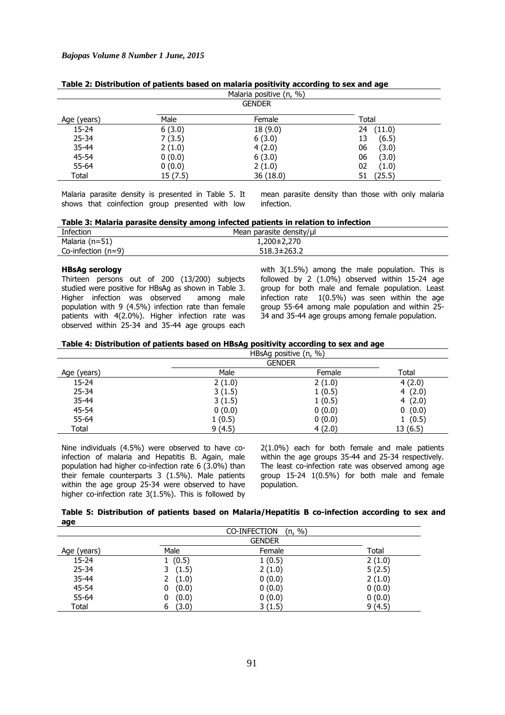| Malaria positive (n, %) |         |               |              |  |  |
|-------------------------|---------|---------------|--------------|--|--|
|                         |         | <b>GENDER</b> |              |  |  |
| Age (years)             | Male    | Female        | Total        |  |  |
| $15 - 24$               | 6(3.0)  | 18 (9.0)      | (11.0)<br>24 |  |  |
| $25 - 34$               | 7(3.5)  | 6(3.0)        | (6.5)<br>13  |  |  |
| $35 - 44$               | 2(1.0)  | 4(2.0)        | 06<br>(3.0)  |  |  |
| 45-54                   | 0(0.0)  | 6(3.0)        | 06<br>(3.0)  |  |  |
| $55 - 64$               | 0(0.0)  | 2(1.0)        | 02<br>(1.0)  |  |  |
| Total                   | 15(7.5) | 36 (18.0)     | (25.5)       |  |  |

| Table 2: Distribution of patients based on malaria positivity according to sex and age |  |  |  |  |  |  |
|----------------------------------------------------------------------------------------|--|--|--|--|--|--|
|----------------------------------------------------------------------------------------|--|--|--|--|--|--|

Malaria parasite density is presented in Table 5. It shows that coinfection group presented with low

mean parasite density than those with only malaria infection.

| Table 3: Malaria parasite density among infected patients in relation to infection |  |  |  |  |  |
|------------------------------------------------------------------------------------|--|--|--|--|--|
|------------------------------------------------------------------------------------|--|--|--|--|--|

| Infection            | Mean parasite density/µl |
|----------------------|--------------------------|
| Malaria (n=51)       | $1,200\pm2,270$          |
| Co-infection $(n=9)$ | $518.3 \pm 263.2$        |

### **HBsAg serology**

Thirteen persons out of 200 (13/200) subjects studied were positive for HBsAg as shown in Table 3. Higher infection was observed among male population with 9 (4.5%) infection rate than female patients with 4(2.0%). Higher infection rate was observed within 25-34 and 35-44 age groups each

with 3(1.5%) among the male population. This is followed by 2 (1.0%) observed within 15-24 age group for both male and female population. Least infection rate 1(0.5%) was seen within the age group 55-64 among male population and within 25- 34 and 35-44 age groups among female population.

|             |               | HBsAg positive $(n, %)$ |          |
|-------------|---------------|-------------------------|----------|
|             | <b>GENDER</b> |                         |          |
| Age (years) | Male          | Female                  | Total    |
| 15-24       | 2(1.0)        | 2(1.0)                  | 4(2.0)   |
| $25 - 34$   | 3(1.5)        | 1(0.5)                  | 4(2.0)   |
| 35-44       | 3(1.5)        | 1(0.5)                  | 4(2.0)   |
| 45-54       | 0(0.0)        | 0(0.0)                  | 0(0.0)   |
| 55-64       | 1(0.5)        | 0(0.0)                  | 1(0.5)   |
| Total       | 9(4.5)        | 4(2.0)                  | 13 (6.5) |

Nine individuals (4.5%) were observed to have coinfection of malaria and Hepatitis B. Again, male population had higher co-infection rate 6 (3.0%) than their female counterparts 3 (1.5%). Male patients within the age group 25-34 were observed to have higher co-infection rate 3(1.5%). This is followed by

2(1.0%) each for both female and male patients within the age groups 35-44 and 25-34 respectively. The least co-infection rate was observed among age group 15-24 1(0.5%) for both male and female population.

| Table 5: Distribution of patients based on Malaria/Hepatitis B co-infection according to sex and |  |  |  |  |
|--------------------------------------------------------------------------------------------------|--|--|--|--|
| age                                                                                              |  |  |  |  |

|             |            | %<br>CO-INFECTION<br>(n, |        |
|-------------|------------|--------------------------|--------|
|             |            | <b>GENDER</b>            |        |
| Age (years) | Male       | Female                   | Total  |
| $15 - 24$   | 1(0.5)     | 1(0.5)                   | 2(1.0) |
| $25 - 34$   | (1.5)<br>3 | 2(1.0)                   | 5(2.5) |
| $35 - 44$   | (1.0)      | 0(0.0)                   | 2(1.0) |
| 45-54       | (0.0)<br>0 | 0(0.0)                   | 0(0.0) |
| 55-64       | (0.0)<br>0 | 0(0.0)                   | 0(0.0) |
| Total       | (3.0)<br>6 | 3(1.5)                   | 9(4.5) |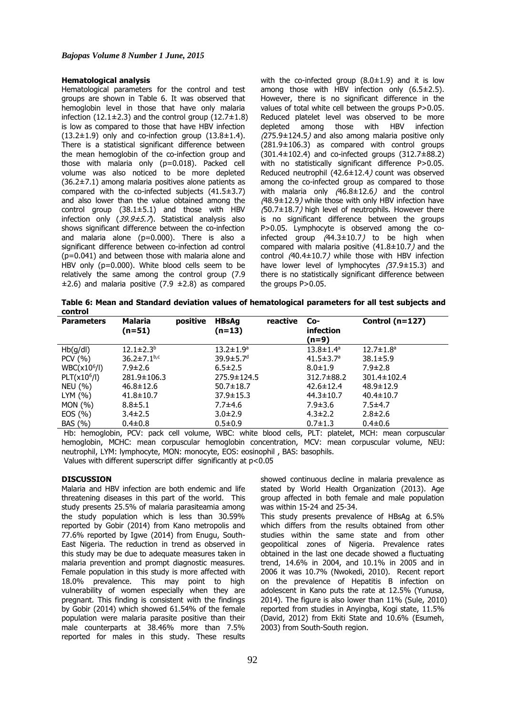### **Hematological analysis**

Hematological parameters for the control and test groups are shown in Table 6. It was observed that hemoglobin level in those that have only malaria infection (12.1 $\pm$ 2.3) and the control group (12.7 $\pm$ 1.8) is low as compared to those that have HBV infection  $(13.2\pm1.9)$  only and co-infection group  $(13.8\pm1.4)$ . There is a statistical significant difference between the mean hemoglobin of the co-infection group and those with malaria only (p=0.018). Packed cell volume was also noticed to be more depleted  $(36.2\pm7.1)$  among malaria positives alone patients as compared with the co-infected subjects (41.5±3.7) and also lower than the value obtained among the control group (38.1±5.1) and those with HBV infection only (39.9±5.7). Statistical analysis also shows significant difference between the co-infection and malaria alone (p=0.000). There is also a significant difference between co-infection ad control (p=0.041) and between those with malaria alone and HBV only (p=0.000). White blood cells seem to be relatively the same among the control group (7.9  $\pm$ 2.6) and malaria positive (7.9  $\pm$ 2.8) as compared

with the co-infected group  $(8.0 \pm 1.9)$  and it is low among those with HBV infection only  $(6.5\pm2.5)$ . However, there is no significant difference in the values of total white cell between the groups P>0.05. Reduced platelet level was observed to be more depleted among those with HBV infection (275.9±124.5) and also among malaria positive only  $(281.9\pm106.3)$  as compared with control groups (301.4±102.4) and co-infected groups (312.7±88.2) with no statistically significant difference P>0.05. Reduced neutrophil (42.6±12.4) count was observed among the co-infected group as compared to those with malaria only (46.8±12.6) and the control (48.9±12.9) while those with only HBV infection have (50.7±18.7) high level of neutrophils. However there is no significant difference between the groups P>0.05. Lymphocyte is observed among the coinfected group  $(44.3 \pm 10.7)$  to be high when compared with malaria positive  $(41.8 \pm 10.7)$  and the control (40.4±10.7) while those with HBV infection have lower level of lymphocytes (37.9±15.3) and there is no statistically significant difference between the groups P>0.05.

**Table 6: Mean and Standard deviation values of hematological parameters for all test subjects and control**

| <b>Parameters</b> | <b>Malaria</b><br>(n=51)      | positive | <b>HBsAg</b><br>$(n=13)$    | reactive | Co-<br>infection<br>(n=9)   | Control $(n=127)$           |
|-------------------|-------------------------------|----------|-----------------------------|----------|-----------------------------|-----------------------------|
| Hb(g/dl)          | $12.1 \pm 2.3^b$              |          | $13.2 \pm 1.9^a$            |          | $13.8 \pm 1.4^{\circ}$      | $12.7 \pm 1.8$ <sup>a</sup> |
| PCV (%)           | $36.2 \pm 7.1$ <sub>b,c</sub> |          | $39.9 \pm 5.7$ <sup>d</sup> |          | $41.5 \pm 3.7$ <sup>a</sup> | $38.1 \pm 5.9$              |
| $WBC(x10^6/l)$    | $7.9 \pm 2.6$                 |          | $6.5 \pm 2.5$               |          | $8.0 \pm 1.9$               | $7.9 \pm 2.8$               |
| $PLT(x10^6/l)$    | 281.9±106.3                   |          | 275.9±124.5                 |          | 312.7±88.2                  | 301.4±102.4                 |
| <b>NEU (%)</b>    | $46.8 \pm 12.6$               |          | $50.7 \pm 18.7$             |          | $42.6 \pm 12.4$             | $48.9 \pm 12.9$             |
| LYM(%)            | $41.8 \pm 10.7$               |          | $37.9 \pm 15.3$             |          | $44.3 \pm 10.7$             | $40.4 \pm 10.7$             |
| MON (%)           | $8.8 \pm 5.1$                 |          | $7.7 + 4.6$                 |          | $7.9 \pm 3.6$               | $7.5\pm4.7$                 |
| EOS(%)            | $3.4 \pm 2.5$                 |          | $3.0 \pm 2.9$               |          | $4.3 \pm 2.2$               | $2.8 \pm 2.6$               |
| BAS (%)           | $0.4 \pm 0.8$                 |          | $0.5 \pm 0.9$               |          | $0.7 \pm 1.3$               | $0.4 \pm 0.6$               |

Hb: hemoglobin, PCV: pack cell volume, WBC: white blood cells, PLT: platelet, MCH: mean corpuscular hemoglobin, MCHC: mean corpuscular hemoglobin concentration, MCV: mean corpuscular volume, NEU: neutrophil, LYM: lymphocyte, MON: monocyte, EOS: eosinophil , BAS: basophils.

Values with different superscript differ significantly at p<0.05

## **DISCUSSION**

Malaria and HBV infection are both endemic and life threatening diseases in this part of the world. This study presents 25.5% of malaria parasiteamia among the study population which is less than 30.59% reported by Gobir (2014) from Kano metropolis and 77.6% reported by Igwe (2014) from Enugu, South-East Nigeria. The reduction in trend as observed in this study may be due to adequate measures taken in malaria prevention and prompt diagnostic measures. Female population in this study is more affected with 18.0% prevalence. This may point to high vulnerability of women especially when they are pregnant. This finding is consistent with the findings by Gobir (2014) which showed 61.54% of the female population were malaria parasite positive than their male counterparts at 38.46% more than 7.5% reported for males in this study. These results

showed continuous decline in malaria prevalence as stated by World Health Organization (2013). Age group affected in both female and male population was within 15-24 and 25-34.

This study presents prevalence of HBsAg at 6.5% which differs from the results obtained from other studies within the same state and from other geopolitical zones of Nigeria. Prevalence rates obtained in the last one decade showed a fluctuating trend, 14.6% in 2004, and 10.1% in 2005 and in 2006 it was 10.7% (Nwokedi, 2010). Recent report on the prevalence of Hepatitis B infection on adolescent in Kano puts the rate at 12.5% (Yunusa, 2014). The figure is also lower than 11% (Sule, 2010) reported from studies in Anyingba, Kogi state, 11.5% (David, 2012) from Ekiti State and 10.6% (Esumeh, 2003) from South-South region.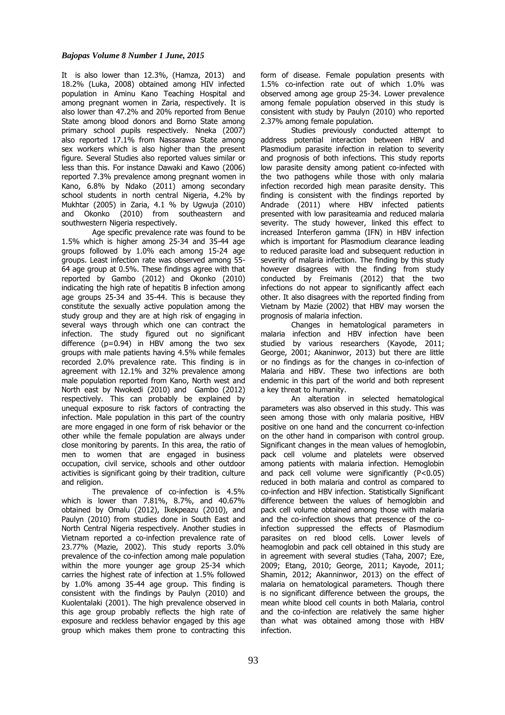It is also lower than 12.3%, (Hamza, 2013) and 18.2% (Luka, 2008) obtained among HIV infected population in Aminu Kano Teaching Hospital and among pregnant women in Zaria, respectively. It is also lower than 47.2% and 20% reported from Benue State among blood donors and Borno State among primary school pupils respectively. Nneka (2007) also reported 17.1% from Nassarawa State among sex workers which is also higher than the present figure. Several Studies also reported values similar or less than this. For instance Dawaki and Kawo (2006) reported 7.3% prevalence among pregnant women in Kano, 6.8% by Ndako (2011) among secondary school students in north central Nigeria, 4.2% by Mukhtar (2005) in Zaria, 4.1 % by Ugwuja (2010) and Okonko (2010) from southeastern and southwestern Nigeria respectively.

Age specific prevalence rate was found to be 1.5% which is higher among 25-34 and 35-44 age groups followed by 1.0% each among 15-24 age groups. Least infection rate was observed among 55- 64 age group at 0.5%. These findings agree with that reported by Gambo (2012) and Okonko (2010) indicating the high rate of hepatitis B infection among age groups 25-34 and 35-44. This is because they constitute the sexually active population among the study group and they are at high risk of engaging in several ways through which one can contract the infection. The study figured out no significant difference  $(p=0.94)$  in HBV among the two sex groups with male patients having 4.5% while females recorded 2.0% prevalence rate. This finding is in agreement with 12.1% and 32% prevalence among male population reported from Kano, North west and North east by Nwokedi (2010) and Gambo (2012) respectively. This can probably be explained by unequal exposure to risk factors of contracting the infection. Male population in this part of the country are more engaged in one form of risk behavior or the other while the female population are always under close monitoring by parents. In this area, the ratio of men to women that are engaged in business occupation, civil service, schools and other outdoor activities is significant going by their tradition, culture and religion.

The prevalence of co-infection is 4.5% which is lower than 7.81%, 8.7%, and 40.67% obtained by Omalu (2012), Ikekpeazu (2010), and Paulyn (2010) from studies done in South East and North Central Nigeria respectively. Another studies in Vietnam reported a co-infection prevalence rate of 23.77% (Mazie, 2002). This study reports 3.0% prevalence of the co-infection among male population within the more younger age group 25-34 which carries the highest rate of infection at 1.5% followed by 1.0% among 35-44 age group. This finding is consistent with the findings by Paulyn (2010) and Kuolentalaki (2001). The high prevalence observed in this age group probably reflects the high rate of exposure and reckless behavior engaged by this age group which makes them prone to contracting this

form of disease. Female population presents with 1.5% co-infection rate out of which 1.0% was observed among age group 25-34. Lower prevalence among female population observed in this study is consistent with study by Paulyn (2010) who reported 2.37% among female population.

Studies previously conducted attempt to address potential interaction between HBV and Plasmodium parasite infection in relation to severity and prognosis of both infections. This study reports low parasite density among patient co-infected with the two pathogens while those with only malaria infection recorded high mean parasite density. This finding is consistent with the findings reported by Andrade (2011) where HBV infected patients presented with low parasiteamia and reduced malaria severity. The study however, linked this effect to increased Interferon gamma (IFN) in HBV infection which is important for Plasmodium clearance leading to reduced parasite load and subsequent reduction in severity of malaria infection. The finding by this study however disagrees with the finding from study conducted by Freimanis (2012) that the two infections do not appear to significantly affect each other. It also disagrees with the reported finding from Vietnam by Mazie (2002) that HBV may worsen the prognosis of malaria infection.

Changes in hematological parameters in malaria infection and HBV infection have been studied by various researchers (Kayode, 2011; George, 2001; Akaninwor, 2013) but there are little or no findings as for the changes in co-infection of Malaria and HBV. These two infections are both endemic in this part of the world and both represent a key threat to humanity.

An alteration in selected hematological parameters was also observed in this study. This was seen among those with only malaria positive, HBV positive on one hand and the concurrent co-infection on the other hand in comparison with control group. Significant changes in the mean values of hemoglobin, pack cell volume and platelets were observed among patients with malaria infection. Hemoglobin and pack cell volume were significantly  $(P<0.05)$ reduced in both malaria and control as compared to co-infection and HBV infection. Statistically Significant difference between the values of hemoglobin and pack cell volume obtained among those with malaria and the co-infection shows that presence of the coinfection suppressed the effects of Plasmodium parasites on red blood cells. Lower levels of heamoglobin and pack cell obtained in this study are in agreement with several studies (Taha, 2007; Eze, 2009; Etang, 2010; George, 2011; Kayode, 2011; Shamin, 2012; Akanninwor, 2013) on the effect of malaria on hematological parameters. Though there is no significant difference between the groups, the mean white blood cell counts in both Malaria, control and the co-infection are relatively the same higher than what was obtained among those with HBV infection.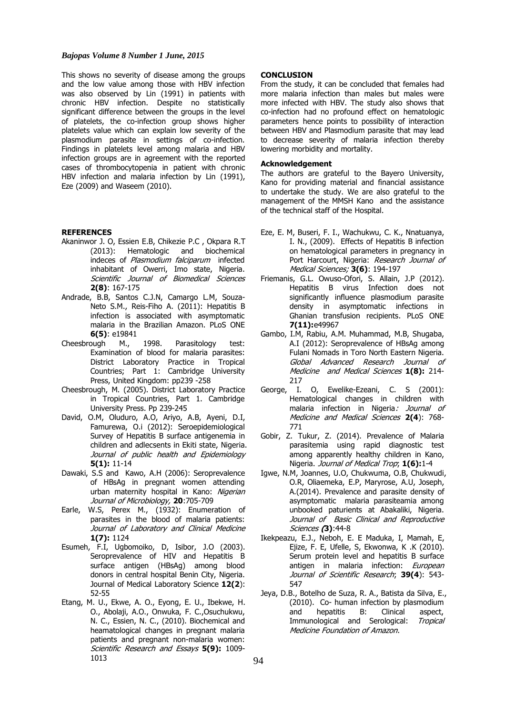### *Bajopas Volume 8 Number 1 June, 2015*

This shows no severity of disease among the groups and the low value among those with HBV infection was also observed by Lin (1991) in patients with chronic HBV infection. Despite no statistically significant difference between the groups in the level of platelets, the co-infection group shows higher platelets value which can explain low severity of the plasmodium parasite in settings of co-infection. Findings in platelets level among malaria and HBV infection groups are in agreement with the reported cases of thrombocytopenia in patient with chronic HBV infection and malaria infection by Lin (1991), Eze (2009) and Waseem (2010).

### **REFERENCES**

- Akaninwor J. O, Essien E.B, Chikezie P.C , Okpara R.T (2013): Hematologic and biochemical indeces of Plasmodium falciparum infected inhabitant of Owerri, Imo state, Nigeria. Scientific Journal of Biomedical Sciences **2(8)**: 167-175
- Andrade, B.B, Santos C.J.N, Camargo L.M, Souza-Neto S.M., Reis-Fiho A. (2011): Hepatitis B infection is associated with asymptomatic malaria in the Brazilian Amazon. PLoS ONE **6(5)**: e19841
- Cheesbrough M., 1998. Parasitology test: Examination of blood for malaria parasites: District Laboratory Practice in Tropical Countries; Part 1: Cambridge University Press, United Kingdom: pp239 -258
- Cheesbrough, M. (2005). District Laboratory Practice in Tropical Countries, Part 1. Cambridge University Press. Pp 239-245
- David, O.M, Oluduro, A.O, Ariyo, A.B, Ayeni, D.I, Famurewa, O.i (2012): Seroepidemiological Survey of Hepatitis B surface antigenemia in children and adlecsents in Ekiti state, Nigeria. Journal of public health and Epidemiology **5(1):** 11-14
- Dawaki, S.S and Kawo, A.H (2006): Seroprevalence of HBsAg in pregnant women attending urban maternity hospital in Kano: Nigerian Journal of Microbiology, **20**:705-709
- Earle, W.S, Perex M., (1932): Enumeration of parasites in the blood of malaria patients: Journal of Laboratory and Clinical Medicine **1(7):** 1124
- Esumeh, F.I, Ugbomoiko, D, Isibor, J.O (2003). Seroprevalence of HIV and Hepatitis B surface antigen (HBsAg) among blood donors in central hospital Benin City, Nigeria. Journal of Medical Laboratory Science **12(2**): 52-55
- Etang, M. U., Ekwe, A. O., Eyong, E. U., Ibekwe, H. O., Abolaji, A.O., Onwuka, F. C.,Osuchukwu, N. C., Essien, N. C., (2010). Biochemical and heamatological changes in pregnant malaria patients and pregnant non-malaria women: Scientific Research and Essays **5(9):** 1009- 1013

#### **CONCLUSION**

From the study, it can be concluded that females had more malaria infection than males but males were more infected with HBV. The study also shows that co-infection had no profound effect on hematologic parameters hence points to possibility of interaction between HBV and Plasmodium parasite that may lead to decrease severity of malaria infection thereby lowering morbidity and mortality.

### **Acknowledgement**

The authors are grateful to the Bayero University, Kano for providing material and financial assistance to undertake the study. We are also grateful to the management of the MMSH Kano and the assistance of the technical staff of the Hospital.

- Eze, E. M, Buseri, F. I., Wachukwu, C. K., Nnatuanya, I. N., (2009). Effects of Hepatitis B infection on hematological parameters in pregnancy in Port Harcourt, Nigeria: Research Journal of Medical Sciences; **3(6)**: 194-197
- Friemanis, G.L. Owuso-Ofori, S. Allain, J.P (2012). Hepatitis B virus Infection does not significantly influence plasmodium parasite density in asymptomatic infections in Ghanian transfusion recipients. PLoS ONE **7(11):**e49967
- Gambo, I.M, Rabiu, A.M. Muhammad, M.B, Shugaba, A.I (2012): Seroprevalence of HBsAg among Fulani Nomads in Toro North Eastern Nigeria. Global Advanced Research Journal of Medicine and Medical Sciences **1(8):** 214- 217
- George, I. O, Ewelike-Ezeani, C. S (2001): Hematological changes in children with malaria infection in Nigeria: Journal of Medicine and Medical Sciences **2(4**): 768- 771
- Gobir, Z. Tukur, Z. (2014). Prevalence of Malaria parasitemia using rapid diagnostic test among apparently healthy children in Kano, Nigeria. Journal of Medical Trop; **1(6):**1-4
- Igwe, N.M, Joannes, U.O, Chukwuma, O.B, Chukwudi, O.R, Oliaemeka, E.P, Maryrose, A.U, Joseph, A.(2014). Prevalence and parasite density of asymptomatic malaria parasiteamia among unbooked paturients at Abakaliki, Nigeria. Journal of Basic Clinical and Reproductive Sciences **(3)**:44-8
- Ikekpeazu, E.J., Neboh, E. E Maduka, I, Mamah, E, Ejize, F. E, Ufelle, S, Ekwonwa, K .K (2010). Serum protein level and hepatitis B surface antigen in malaria infection: European Journal of Scientific Research; **39(4**): 543- 547
- Jeya, D.B., Botelho de Suza, R. A., Batista da Silva, E., (2010). Co- human infection by plasmodium and hepatitis B: Clinical aspect, Immunological and Serological: Tropical Medicine Foundation of Amazon.